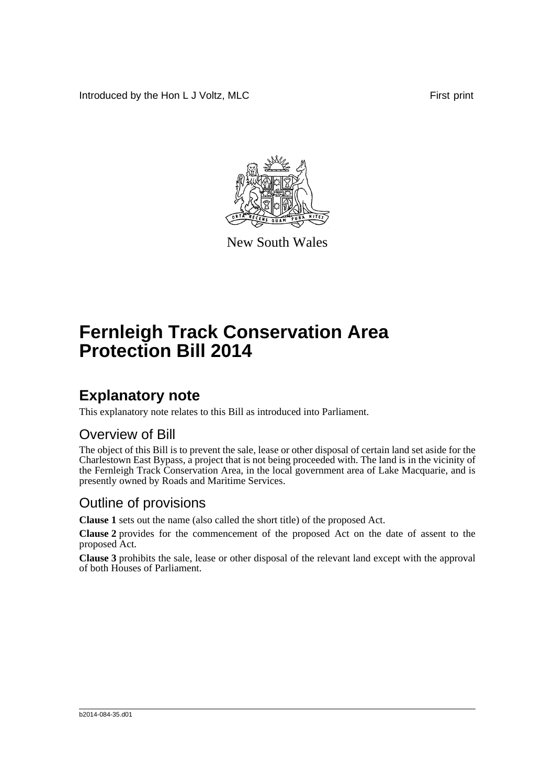Introduced by the Hon L J Voltz, MLC First print



New South Wales

# **Fernleigh Track Conservation Area Protection Bill 2014**

### **Explanatory note**

This explanatory note relates to this Bill as introduced into Parliament.

#### Overview of Bill

The object of this Bill is to prevent the sale, lease or other disposal of certain land set aside for the Charlestown East Bypass, a project that is not being proceeded with. The land is in the vicinity of the Fernleigh Track Conservation Area, in the local government area of Lake Macquarie, and is presently owned by Roads and Maritime Services.

#### Outline of provisions

**Clause 1** sets out the name (also called the short title) of the proposed Act.

**Clause 2** provides for the commencement of the proposed Act on the date of assent to the proposed Act.

**Clause 3** prohibits the sale, lease or other disposal of the relevant land except with the approval of both Houses of Parliament.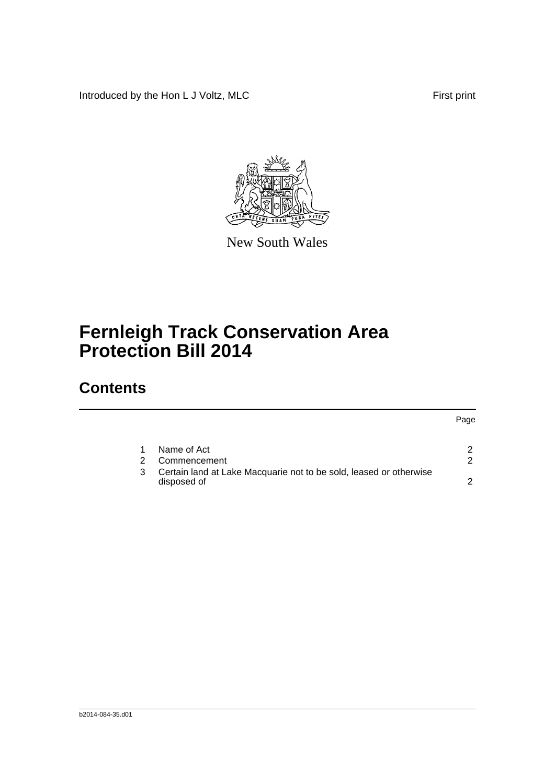Introduced by the Hon L J Voltz, MLC First print



New South Wales

## **Fernleigh Track Conservation Area Protection Bill 2014**

## **Contents**

#### Page

| 1 Name of Act<br>2 Commencement                                                     |  |
|-------------------------------------------------------------------------------------|--|
| 3 Certain land at Lake Macquarie not to be sold, leased or otherwise<br>disposed of |  |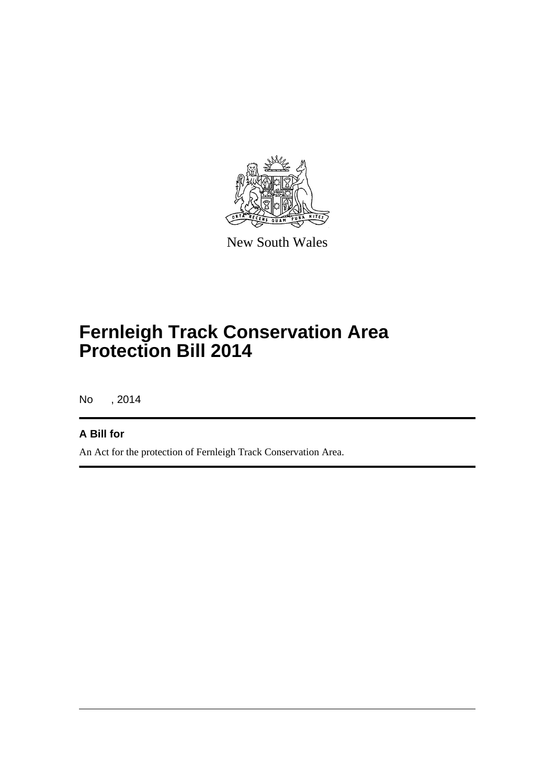

New South Wales

## **Fernleigh Track Conservation Area Protection Bill 2014**

No , 2014

#### **A Bill for**

An Act for the protection of Fernleigh Track Conservation Area.